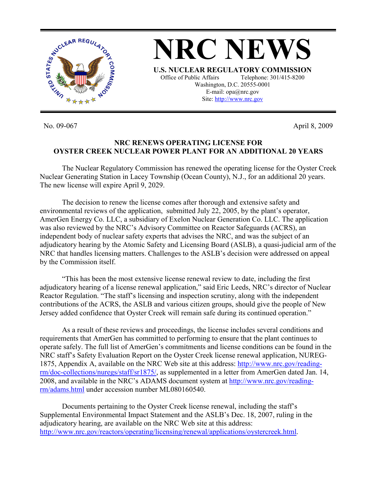

No. 09-067 April 8, 2009

## **NRC RENEWS OPERATING LICENSE FOR OYSTER CREEK NUCLEAR POWER PLANT FOR AN ADDITIONAL 20 YEARS**

**NRC NEWS**

**U.S. NUCLEAR REGULATORY COMMISSION** Office of Public Affairs Telephone: 301/415-8200 Washington, D.C. 20555-0001 E-mail: opa@nrc.gov Site: http://www.nrc.gov

 The Nuclear Regulatory Commission has renewed the operating license for the Oyster Creek Nuclear Generating Station in Lacey Township (Ocean County), N.J., for an additional 20 years. The new license will expire April 9, 2029.

 The decision to renew the license comes after thorough and extensive safety and environmental reviews of the application, submitted July 22, 2005, by the plant's operator, AmerGen Energy Co. LLC, a subsidiary of Exelon Nuclear Generation Co. LLC. The application was also reviewed by the NRC's Advisory Committee on Reactor Safeguards (ACRS), an independent body of nuclear safety experts that advises the NRC, and was the subject of an adjudicatory hearing by the Atomic Safety and Licensing Board (ASLB), a quasi-judicial arm of the NRC that handles licensing matters. Challenges to the ASLB's decision were addressed on appeal by the Commission itself.

"This has been the most extensive license renewal review to date, including the first adjudicatory hearing of a license renewal application," said Eric Leeds, NRC's director of Nuclear Reactor Regulation. "The staff's licensing and inspection scrutiny, along with the independent contributions of the ACRS, the ASLB and various citizen groups, should give the people of New Jersey added confidence that Oyster Creek will remain safe during its continued operation."

 As a result of these reviews and proceedings, the license includes several conditions and requirements that AmerGen has committed to performing to ensure that the plant continues to operate safely. The full list of AmerGen's commitments and license conditions can be found in the NRC staff's Safety Evaluation Report on the Oyster Creek license renewal application, NUREG-1875, Appendix A, available on the NRC Web site at this address: http://www.nrc.gov/readingrm/doc-collections/nuregs/staff/sr1875/, as supplemented in a letter from AmerGen dated Jan. 14, 2008, and available in the NRC's ADAMS document system at http://www.nrc.gov/readingrm/adams.html under accession number ML080160540.

Documents pertaining to the Oyster Creek license renewal, including the staff's Supplemental Environmental Impact Statement and the ASLB's Dec. 18, 2007, ruling in the adjudicatory hearing, are available on the NRC Web site at this address: http://www.nrc.gov/reactors/operating/licensing/renewal/applications/oystercreek.html.